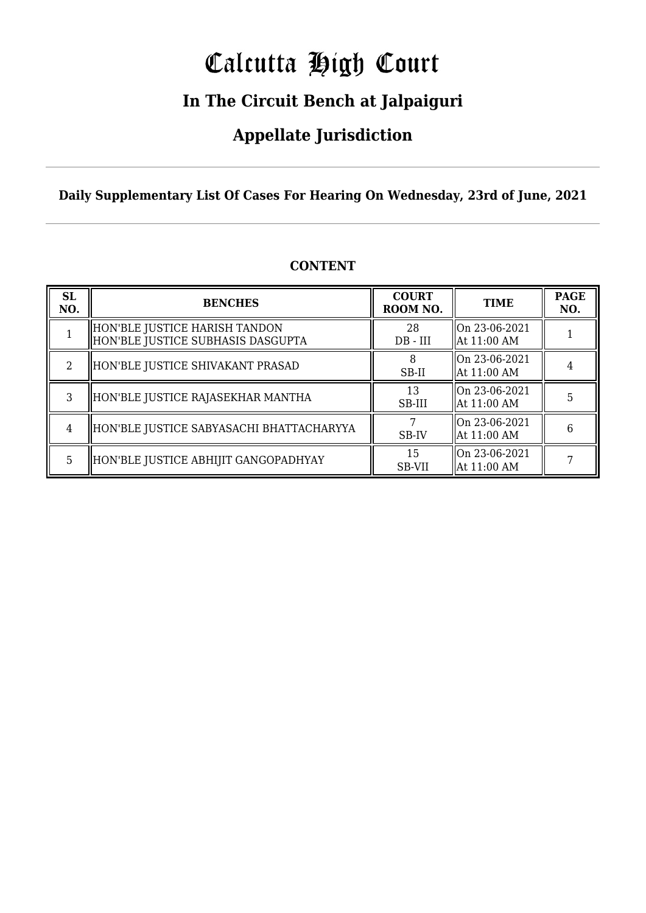# Calcutta High Court

### **In The Circuit Bench at Jalpaiguri**

### **Appellate Jurisdiction**

**Daily Supplementary List Of Cases For Hearing On Wednesday, 23rd of June, 2021**

| <b>SL</b><br>NO.            | <b>BENCHES</b>                                                     | <b>COURT</b><br>ROOM NO. | <b>TIME</b>                    | <b>PAGE</b><br>NO. |
|-----------------------------|--------------------------------------------------------------------|--------------------------|--------------------------------|--------------------|
|                             | HON'BLE JUSTICE HARISH TANDON<br>HON'BLE JUSTICE SUBHASIS DASGUPTA | 28<br>$DB - III$         | On 23-06-2021<br>  At 11:00 AM |                    |
| $\mathcal{D}_{\mathcal{L}}$ | HON'BLE JUSTICE SHIVAKANT PRASAD                                   | SB-II                    | On 23-06-2021<br>  At 11:00 AM |                    |
| 3                           | HON'BLE JUSTICE RAJASEKHAR MANTHA                                  | 13<br>SB-III             | On 23-06-2021<br>  At 11:00 AM | 5                  |
| $\overline{4}$              | HON'BLE JUSTICE SABYASACHI BHATTACHARYYA                           | SB-IV                    | On 23-06-2021<br>  At 11:00 AM | 6                  |
| 5.                          | HON'BLE JUSTICE ABHIJIT GANGOPADHYAY                               | 15<br>SB-VII             | On 23-06-2021<br>  At 11:00 AM |                    |

### **CONTENT**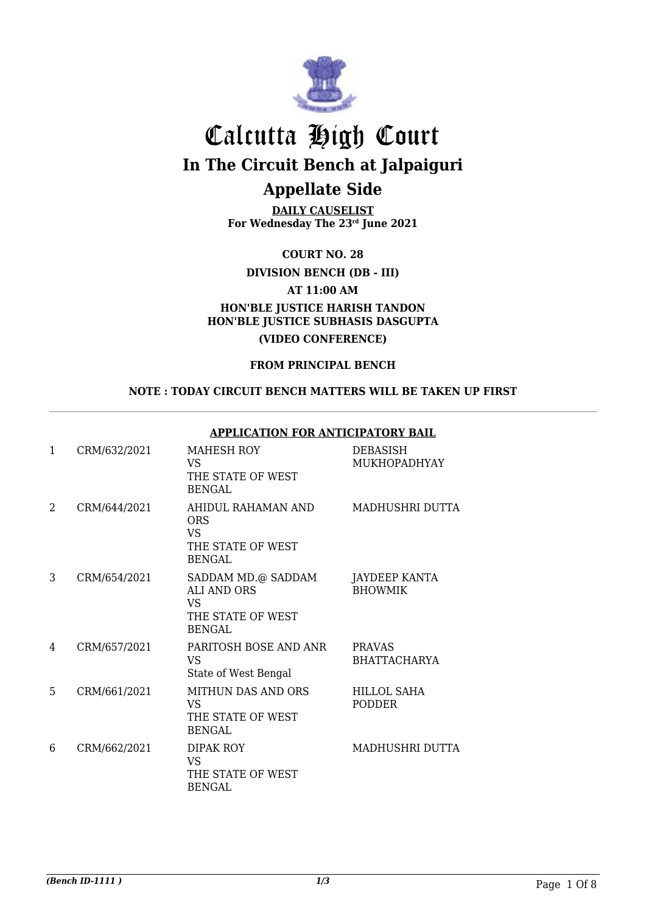

**DAILY CAUSELIST For Wednesday The 23rd June 2021**

**COURT NO. 28**

**DIVISION BENCH (DB - III)**

**AT 11:00 AM**

### **HON'BLE JUSTICE HARISH TANDON HON'BLE JUSTICE SUBHASIS DASGUPTA (VIDEO CONFERENCE)**

### **FROM PRINCIPAL BENCH**

#### **NOTE : TODAY CIRCUIT BENCH MATTERS WILL BE TAKEN UP FIRST**

#### **APPLICATION FOR ANTICIPATORY BAIL**

| 1 | CRM/632/2021 | MAHESH ROY<br>VS<br>THE STATE OF WEST<br><b>BENGAL</b>                                      | <b>DEBASISH</b><br>MUKHOPADHYAY      |
|---|--------------|---------------------------------------------------------------------------------------------|--------------------------------------|
| 2 | CRM/644/2021 | AHIDUL RAHAMAN AND<br><b>ORS</b><br><b>VS</b><br>THE STATE OF WEST<br><b>BENGAL</b>         | MADHUSHRI DUTTA                      |
| 3 | CRM/654/2021 | SADDAM MD.@ SADDAM<br><b>ALI AND ORS</b><br><b>VS</b><br>THE STATE OF WEST<br><b>BENGAL</b> | JAYDEEP KANTA<br><b>BHOWMIK</b>      |
| 4 | CRM/657/2021 | PARITOSH BOSE AND ANR<br><b>VS</b><br>State of West Bengal                                  | <b>PRAVAS</b><br><b>BHATTACHARYA</b> |
| 5 | CRM/661/2021 | MITHUN DAS AND ORS<br><b>VS</b><br>THE STATE OF WEST<br><b>BENGAL</b>                       | HILLOL SAHA<br><b>PODDER</b>         |
| 6 | CRM/662/2021 | DIPAK ROY<br><b>VS</b><br>THE STATE OF WEST<br><b>BENGAL</b>                                | MADHUSHRI DUTTA                      |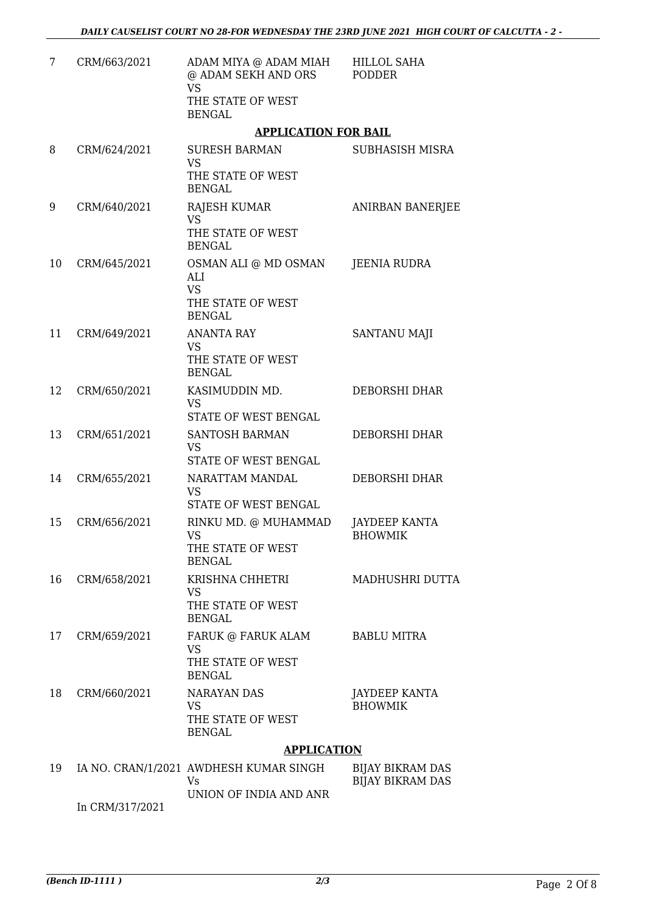| 7  | CRM/663/2021    | ADAM MIYA @ ADAM MIAH<br>@ ADAM SEKH AND ORS<br><b>VS</b>               | <b>HILLOL SAHA</b><br><b>PODDER</b>                |
|----|-----------------|-------------------------------------------------------------------------|----------------------------------------------------|
|    |                 | THE STATE OF WEST<br><b>BENGAL</b>                                      |                                                    |
|    |                 | <b>APPLICATION FOR BAIL</b>                                             |                                                    |
| 8  | CRM/624/2021    | <b>SURESH BARMAN</b><br><b>VS</b>                                       | <b>SUBHASISH MISRA</b>                             |
|    |                 | THE STATE OF WEST<br><b>BENGAL</b>                                      |                                                    |
| 9  | CRM/640/2021    | <b>RAJESH KUMAR</b><br><b>VS</b>                                        | <b>ANIRBAN BANERJEE</b>                            |
|    |                 | THE STATE OF WEST<br><b>BENGAL</b>                                      |                                                    |
| 10 | CRM/645/2021    | OSMAN ALI @ MD OSMAN<br>ALI<br><b>VS</b>                                | <b>JEENIA RUDRA</b>                                |
|    |                 | THE STATE OF WEST<br><b>BENGAL</b>                                      |                                                    |
| 11 | CRM/649/2021    | <b>ANANTA RAY</b><br><b>VS</b>                                          | <b>SANTANU MAJI</b>                                |
|    |                 | THE STATE OF WEST<br><b>BENGAL</b>                                      |                                                    |
| 12 | CRM/650/2021    | KASIMUDDIN MD.<br><b>VS</b><br>STATE OF WEST BENGAL                     | DEBORSHI DHAR                                      |
| 13 | CRM/651/2021    | <b>SANTOSH BARMAN</b>                                                   | <b>DEBORSHI DHAR</b>                               |
|    |                 | <b>VS</b><br>STATE OF WEST BENGAL                                       |                                                    |
| 14 | CRM/655/2021    | NARATTAM MANDAL<br><b>VS</b><br>STATE OF WEST BENGAL                    | DEBORSHI DHAR                                      |
| 15 | CRM/656/2021    | RINKU MD. @ MUHAMMAD<br><b>VS</b><br>THE STATE OF WEST<br><b>BENGAL</b> | <b>JAYDEEP KANTA</b><br><b>BHOWMIK</b>             |
| 16 | CRM/658/2021    | KRISHNA CHHETRI<br><b>VS</b>                                            | MADHUSHRI DUTTA                                    |
|    |                 | THE STATE OF WEST<br><b>BENGAL</b>                                      |                                                    |
| 17 | CRM/659/2021    | FARUK @ FARUK ALAM<br><b>VS</b>                                         | <b>BABLU MITRA</b>                                 |
|    |                 | THE STATE OF WEST<br><b>BENGAL</b>                                      |                                                    |
| 18 | CRM/660/2021    | <b>NARAYAN DAS</b><br><b>VS</b>                                         | JAYDEEP KANTA<br><b>BHOWMIK</b>                    |
|    |                 | THE STATE OF WEST<br><b>BENGAL</b>                                      |                                                    |
|    |                 | <b>APPLICATION</b>                                                      |                                                    |
| 19 |                 | IA NO. CRAN/1/2021 AWDHESH KUMAR SINGH<br><b>Vs</b>                     | <b>BIJAY BIKRAM DAS</b><br><b>BIJAY BIKRAM DAS</b> |
|    | In CRM/317/2021 | UNION OF INDIA AND ANR                                                  |                                                    |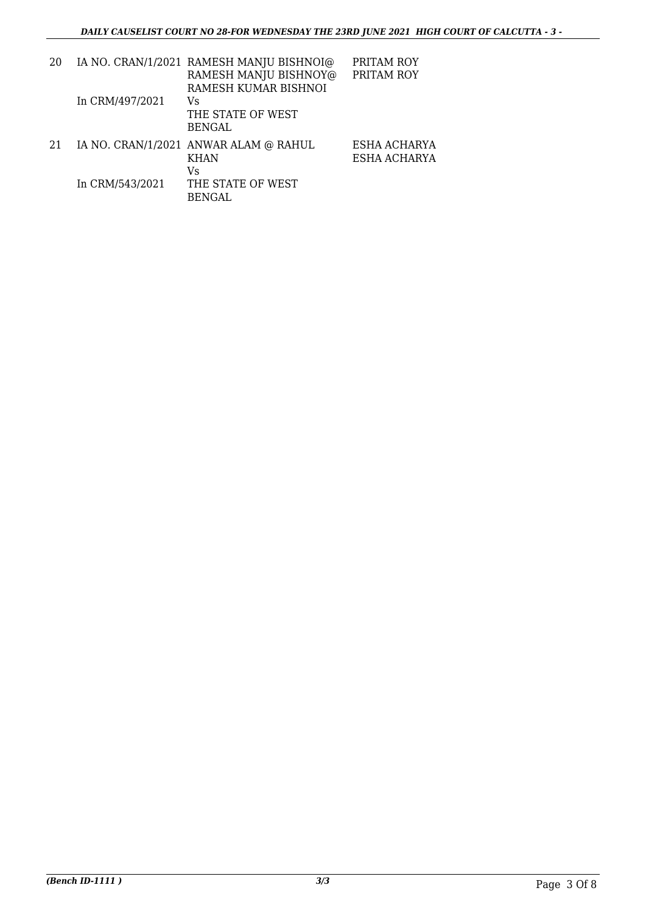| 20 |                 | IA NO. CRAN/1/2021 RAMESH MANJU BISHNOI@<br>RAMESH MANJU BISHNOY@ | PRITAM ROY<br>PRITAM ROY     |
|----|-----------------|-------------------------------------------------------------------|------------------------------|
|    | In CRM/497/2021 | RAMESH KUMAR BISHNOI<br>Vs<br>THE STATE OF WEST<br>BENGAL         |                              |
| 21 |                 | IA NO. CRAN/1/2021 ANWAR ALAM @ RAHUL<br><b>KHAN</b><br>Vs        | ESHA ACHARYA<br>ESHA ACHARYA |
|    | In CRM/543/2021 | THE STATE OF WEST<br>BENGAL                                       |                              |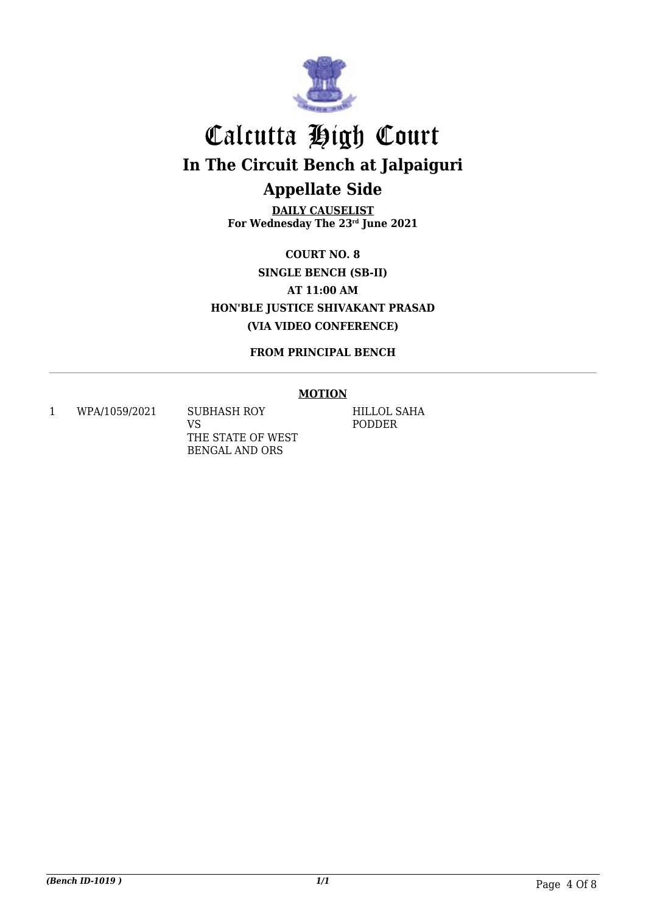

**DAILY CAUSELIST For Wednesday The 23rd June 2021**

**COURT NO. 8 SINGLE BENCH (SB-II) AT 11:00 AM HON'BLE JUSTICE SHIVAKANT PRASAD (VIA VIDEO CONFERENCE)**

**FROM PRINCIPAL BENCH**

### **MOTION**

1 WPA/1059/2021 SUBHASH ROY

VS THE STATE OF WEST BENGAL AND ORS

HILLOL SAHA PODDER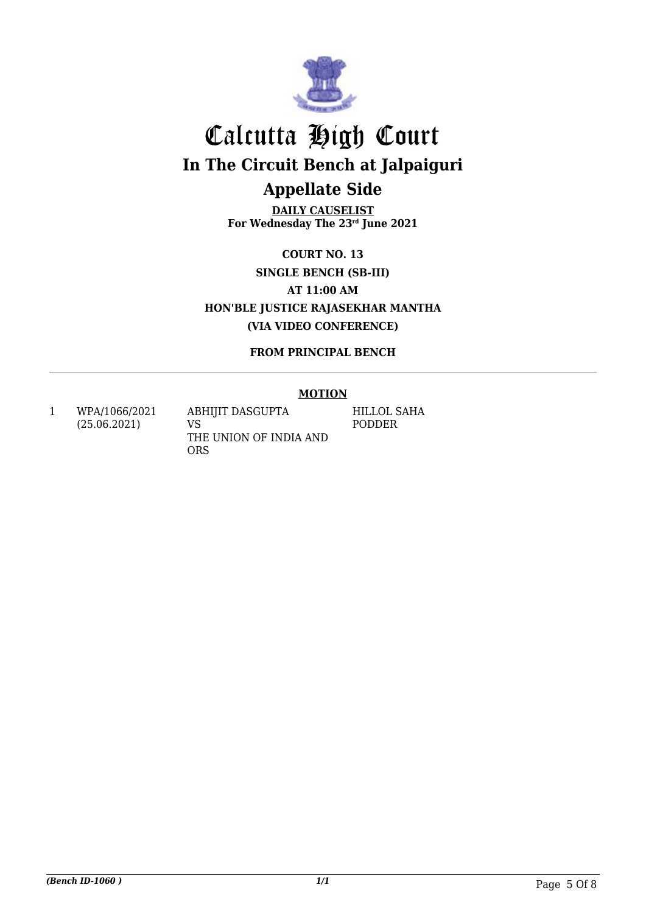

**DAILY CAUSELIST For Wednesday The 23rd June 2021**

**COURT NO. 13 SINGLE BENCH (SB-III) AT 11:00 AM HON'BLE JUSTICE RAJASEKHAR MANTHA (VIA VIDEO CONFERENCE)**

**FROM PRINCIPAL BENCH**

### **MOTION**

1 WPA/1066/2021 (25.06.2021)

ABHIJIT DASGUPTA VS THE UNION OF INDIA AND ORS

HILLOL SAHA PODDER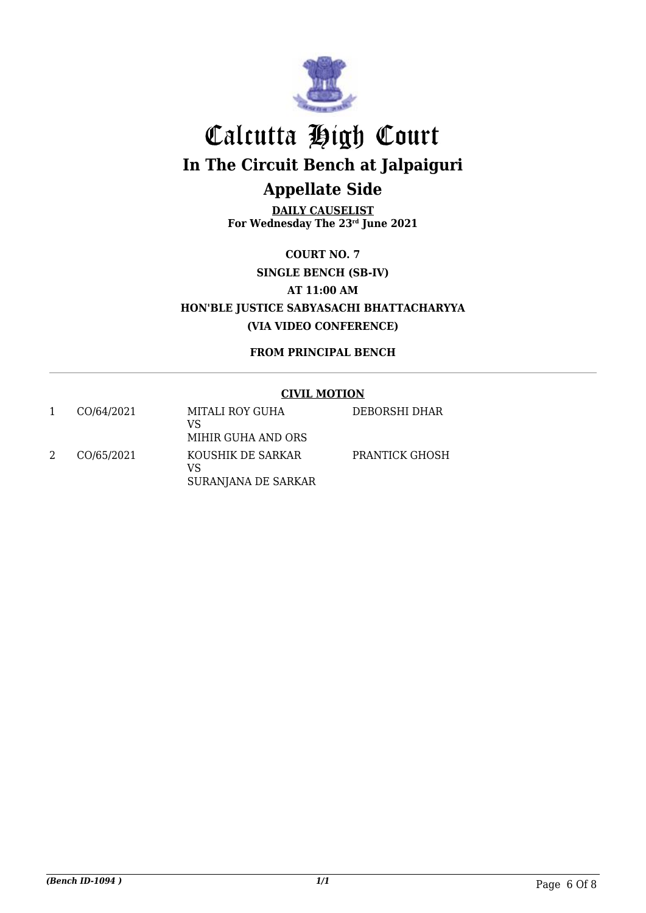

**DAILY CAUSELIST For Wednesday The 23rd June 2021**

**COURT NO. 7 SINGLE BENCH (SB-IV) AT 11:00 AM HON'BLE JUSTICE SABYASACHI BHATTACHARYYA (VIA VIDEO CONFERENCE)**

**FROM PRINCIPAL BENCH**

### **CIVIL MOTION**

| CO/64/2021 | MITALI ROY GUHA<br>VS<br>MIHIR GUHA AND ORS    | DEBORSHI DHAR  |
|------------|------------------------------------------------|----------------|
| CO/65/2021 | KOUSHIK DE SARKAR<br>VS<br>SURANJANA DE SARKAR | PRANTICK GHOSH |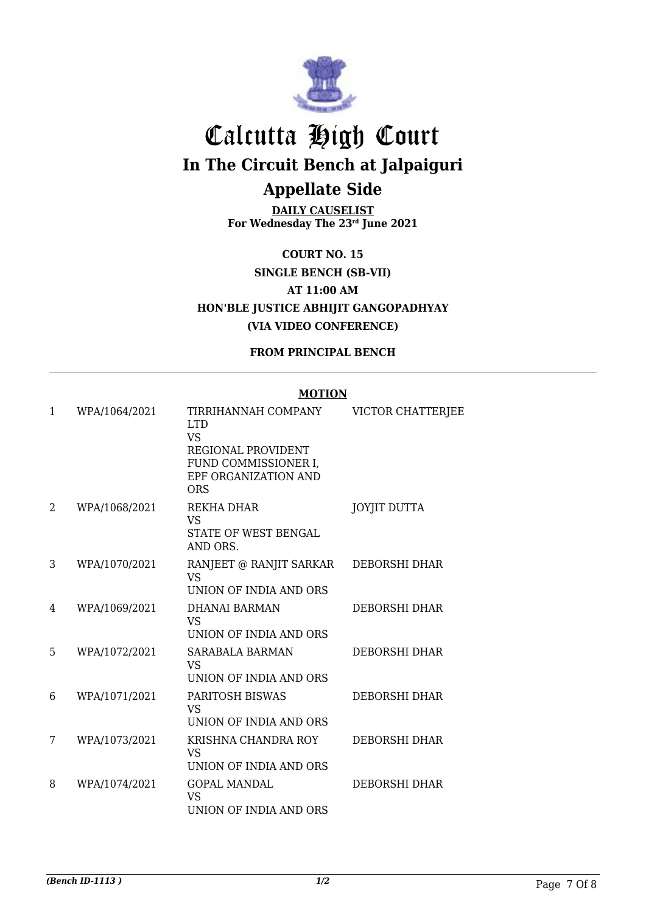

**DAILY CAUSELIST For Wednesday The 23rd June 2021**

**COURT NO. 15 SINGLE BENCH (SB-VII) AT 11:00 AM HON'BLE JUSTICE ABHIJIT GANGOPADHYAY (VIA VIDEO CONFERENCE)**

**FROM PRINCIPAL BENCH**

#### **MOTION**

| 1 | WPA/1064/2021 | TIRRIHANNAH COMPANY<br><b>LTD</b><br><b>VS</b>                            | VICTOR CHATTERJEE    |
|---|---------------|---------------------------------------------------------------------------|----------------------|
|   |               | REGIONAL PROVIDENT<br>FUND COMMISSIONER I,<br>EPF ORGANIZATION AND<br>ORS |                      |
| 2 | WPA/1068/2021 | REKHA DHAR<br><b>VS</b><br>STATE OF WEST BENGAL<br>AND ORS.               | <b>JOYJIT DUTTA</b>  |
| 3 | WPA/1070/2021 | RANJEET @ RANJIT SARKAR<br><b>VS</b><br>UNION OF INDIA AND ORS            | DEBORSHI DHAR        |
| 4 | WPA/1069/2021 | <b>DHANAI BARMAN</b><br><b>VS</b><br>UNION OF INDIA AND ORS               | <b>DEBORSHI DHAR</b> |
| 5 | WPA/1072/2021 | <b>SARABALA BARMAN</b><br><b>VS</b><br>UNION OF INDIA AND ORS             | <b>DEBORSHI DHAR</b> |
| 6 | WPA/1071/2021 | <b>PARITOSH BISWAS</b><br><b>VS</b><br>UNION OF INDIA AND ORS             | <b>DEBORSHI DHAR</b> |
| 7 | WPA/1073/2021 | KRISHNA CHANDRA ROY<br><b>VS</b><br>UNION OF INDIA AND ORS                | <b>DEBORSHI DHAR</b> |
| 8 | WPA/1074/2021 | <b>GOPAL MANDAL</b><br><b>VS</b><br>UNION OF INDIA AND ORS                | <b>DEBORSHI DHAR</b> |